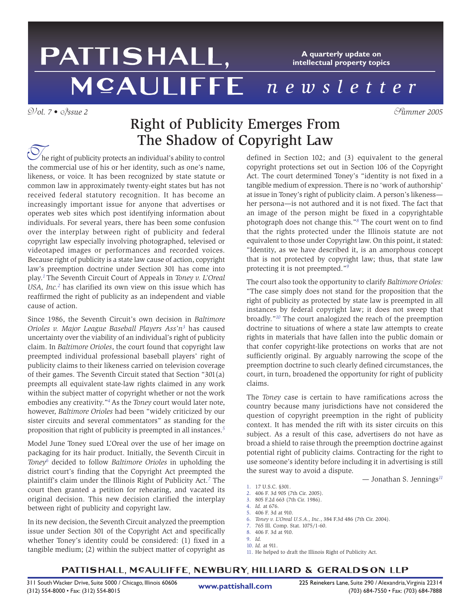# PATTISHALL, **A quarterly update on intellectual property topics** *newsletter*

## V*ol. 7 •* I*ssue 2* S*ummer 2005* Right of Publicity Emerges From The Shadow of Copyright Law

he right of publicity protects an individual's ability to control the commercial use of his or her identity, such as one's name, likeness, or voice. It has been recognized by state statute or common law in approximately twenty-eight states but has not received federal statutory recognition. It has become an increasingly important issue for anyone that advertises or operates web sites which post identifying information about individuals. For several years, there has been some confusion over the interplay between right of publicity and federal copyright law especially involving photographed, televised or videotaped images or performances and recorded voices. Because right of publicity is a state law cause of action, copyright law's preemption doctrine under Section 301 has come into play.*<sup>1</sup>*The Seventh Circuit Court of Appeals in *Toney v. L'Oreal USA, Inc.2* has clarified its own view on this issue which has reaffirmed the right of publicity as an independent and viable cause of action.

Since 1986, the Seventh Circuit's own decision in *Baltimore Orioles v. Major League Baseball Players Ass'n3* has caused uncertainty over the viability of an individual's right of publicity claim. In *Baltimore Orioles*, the court found that copyright law preempted individual professional baseball players' right of publicity claims to their likeness carried on television coverage of their games. The Seventh Circuit stated that Section "301(a) preempts all equivalent state-law rights claimed in any work within the subject matter of copyright whether or not the work embodies any creativity."*<sup>4</sup>*As the *Toney* court would later note, however, *Baltimore Orioles* had been "widely criticized by our sister circuits and several commentators" as standing for the proposition that right of publicity is preempted in all instances.*<sup>5</sup>*

Model June Toney sued L'Oreal over the use of her image on packaging for its hair product. Initially, the Seventh Circuit in *Toney6* decided to follow *Baltimore Orioles* in upholding the district court's finding that the Copyright Act preempted the plaintiff's claim under the Illinois Right of Publicity Act.*<sup>7</sup>* The court then granted a petition for rehearing, and vacated its original decision. This new decision clarified the interplay between right of publicity and copyright law.

In its new decision, the Seventh Circuit analyzed the preemption issue under Section 301 of the Copyright Act and specifically whether Toney's identity could be considered: (1) fixed in a tangible medium; (2) within the subject matter of copyright as defined in Section 102; and (3) equivalent to the general copyright protections set out in Section 106 of the Copyright Act. The court determined Toney's "identity is not fixed in a tangible medium of expression. There is no 'work of authorship' at issue in Toney's right of publicity claim. A person's likeness her persona—is not authored and it is not fixed. The fact that an image of the person might be fixed in a copyrightable photograph does not change this."*<sup>8</sup>* The court went on to find that the rights protected under the Illinois statute are not equivalent to those under Copyright law. On this point, it stated: "Identity, as we have described it, is an amorphous concept that is not protected by copyright law; thus, that state law protecting it is not preempted."*<sup>9</sup>*

The court also took the opportunity to clarify *Baltimore Orioles:* "The case simply does not stand for the proposition that the right of publicity as protected by state law is preempted in all instances by federal copyright law; it does not sweep that broadly."*<sup>10</sup>* The court analogized the reach of the preemption doctrine to situations of where a state law attempts to create rights in materials that have fallen into the public domain or that confer copyright-like protections on works that are not sufficiently original. By arguably narrowing the scope of the preemption doctrine to such clearly defined circumstances, the court, in turn, broadened the opportunity for right of publicity claims.

The *Toney* case is certain to have ramifications across the country because many jurisdictions have not considered the question of copyright preemption in the right of publicity context. It has mended the rift with its sister circuits on this subject. As a result of this case, advertisers do not have as broad a shield to raise through the preemption doctrine against potential right of publicity claims. Contracting for the right to use someone's identity before including it in advertising is still the surest way to avoid a dispute.

— Jonathan S. Jennings*<sup>11</sup>*

- 1. 17 U.S.C. §301.
- 2. 406 F. 3d 905 (7th Cir. 2005).
- 3. 805 F.2d 663 (7th Cir. 1986).
- 4. *Id.* at 676.
- 5. 406 F. 3d at 910.
- 6. *Toney v. L'Oreal U.S.A., Inc.*, 384 F.3d 486 (7th Cir. 2004).
- 7. 765 Ill. Comp. Stat. 1075/1-60.
- 8. 406 F. 3d at 910.
- 9. *Id.*
- 10. *Id.* at 911.
- 11. He helped to draft the Illinois Right of Publicity Act.

### PATTISHALL, MCAULIFFE, NEWBURY, HILLIARD & GERALDSON LLP

**www.pattishall.com**